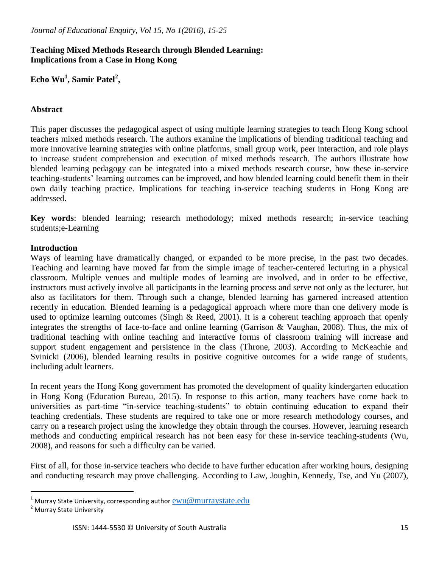## **Teaching Mixed Methods Research through Blended Learning: Implications from a Case in Hong Kong**

**Echo Wu<sup>1</sup> , Samir Patel<sup>2</sup> ,**

## **Abstract**

This paper discusses the pedagogical aspect of using multiple learning strategies to teach Hong Kong school teachers mixed methods research. The authors examine the implications of blending traditional teaching and more innovative learning strategies with online platforms, small group work, peer interaction, and role plays to increase student comprehension and execution of mixed methods research. The authors illustrate how blended learning pedagogy can be integrated into a mixed methods research course, how these in-service teaching-students' learning outcomes can be improved, and how blended learning could benefit them in their own daily teaching practice. Implications for teaching in-service teaching students in Hong Kong are addressed.

**Key words**: blended learning; research methodology; mixed methods research; in-service teaching students;e-Learning

## **Introduction**

Ways of learning have dramatically changed, or expanded to be more precise, in the past two decades. Teaching and learning have moved far from the simple image of teacher-centered lecturing in a physical classroom. Multiple venues and multiple modes of learning are involved, and in order to be effective, instructors must actively involve all participants in the learning process and serve not only as the lecturer, but also as facilitators for them. Through such a change, blended learning has garnered increased attention recently in education. Blended learning is a pedagogical approach where more than one delivery mode is used to optimize learning outcomes (Singh & Reed, 2001). It is a coherent teaching approach that openly integrates the strengths of face-to-face and online learning (Garrison & Vaughan, 2008). Thus, the mix of traditional teaching with online teaching and interactive forms of classroom training will increase and support student engagement and persistence in the class (Throne, 2003). According to McKeachie and Svinicki (2006), blended learning results in positive cognitive outcomes for a wide range of students, including adult learners.

In recent years the Hong Kong government has promoted the development of quality kindergarten education in Hong Kong (Education Bureau, 2015). In response to this action, many teachers have come back to universities as part-time "in-service teaching-students" to obtain continuing education to expand their teaching credentials. These students are required to take one or more research methodology courses, and carry on a research project using the knowledge they obtain through the courses. However, learning research methods and conducting empirical research has not been easy for these in-service teaching-students (Wu, 2008), and reasons for such a difficulty can be varied.

First of all, for those in-service teachers who decide to have further education after working hours, designing and conducting research may prove challenging. According to Law, Joughin, Kennedy, Tse, and Yu (2007),

 $\overline{a}$ 

<sup>&</sup>lt;sup>1</sup> Murray State University, corresponding author  $\underline{\mathrm{ewu}@murraystate.edu}$ 

<sup>2</sup> Murray State University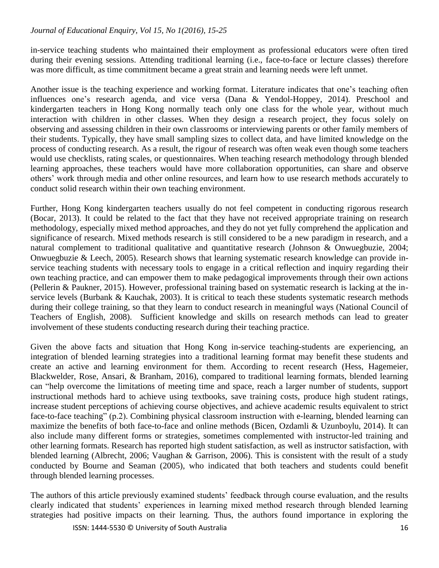in-service teaching students who maintained their employment as professional educators were often tired during their evening sessions. Attending traditional learning (i.e., face-to-face or lecture classes) therefore was more difficult, as time commitment became a great strain and learning needs were left unmet.

Another issue is the teaching experience and working format. Literature indicates that one's teaching often influences one's research agenda, and vice versa (Dana & Yendol-Hoppey, 2014). Preschool and kindergarten teachers in Hong Kong normally teach only one class for the whole year, without much interaction with children in other classes. When they design a research project, they focus solely on observing and assessing children in their own classrooms or interviewing parents or other family members of their students. Typically, they have small sampling sizes to collect data, and have limited knowledge on the process of conducting research. As a result, the rigour of research was often weak even though some teachers would use checklists, rating scales, or questionnaires. When teaching research methodology through blended learning approaches, these teachers would have more collaboration opportunities, can share and observe others' work through media and other online resources, and learn how to use research methods accurately to conduct solid research within their own teaching environment.

Further, Hong Kong kindergarten teachers usually do not feel competent in conducting rigorous research (Bocar, 2013). It could be related to the fact that they have not received appropriate training on research methodology, especially mixed method approaches, and they do not yet fully comprehend the application and significance of research. Mixed methods research is still considered to be a new paradigm in research, and a natural complement to traditional qualitative and quantitative research (Johnson & Onwuegbuzie, 2004; Onwuegbuzie & Leech, 2005). Research shows that learning systematic research knowledge can provide inservice teaching students with necessary tools to engage in a critical reflection and inquiry regarding their own teaching practice, and can empower them to make pedagogical improvements through their own actions (Pellerin & Paukner, 2015). However, professional training based on systematic research is lacking at the inservice levels (Burbank & Kauchak, 2003). It is critical to teach these students systematic research methods during their college training, so that they learn to conduct research in meaningful ways (National Council of Teachers of English, 2008). Sufficient knowledge and skills on research methods can lead to greater involvement of these students conducting research during their teaching practice.

Given the above facts and situation that Hong Kong in-service teaching-students are experiencing, an integration of blended learning strategies into a traditional learning format may benefit these students and create an active and learning environment for them. According to recent research (Hess, Hagemeier, Blackwelder, Rose, Ansari, & Branham, 2016), compared to traditional learning formats, blended learning can "help overcome the limitations of meeting time and space, reach a larger number of students, support instructional methods hard to achieve using textbooks, save training costs, produce high student ratings, increase student perceptions of achieving course objectives, and achieve academic results equivalent to strict face-to-face teaching" (p.2). Combining physical classroom instruction with e-learning, blended learning can maximize the benefits of both face-to-face and online methods (Bicen, Ozdamli & Uzunboylu, 2014). It can also include many different forms or strategies, sometimes complemented with instructor-led training and other learning formats. Research has reported high student satisfaction, as well as instructor satisfaction, with blended learning (Albrecht, 2006; Vaughan & Garrison, 2006). This is consistent with the result of a study conducted by Bourne and Seaman (2005), who indicated that both teachers and students could benefit through blended learning processes.

The authors of this article previously examined students' feedback through course evaluation, and the results clearly indicated that students' experiences in learning mixed method research through blended learning strategies had positive impacts on their learning. Thus, the authors found importance in exploring the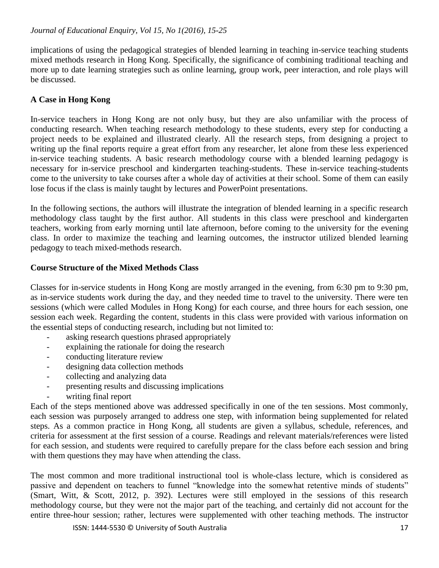implications of using the pedagogical strategies of blended learning in teaching in-service teaching students mixed methods research in Hong Kong. Specifically, the significance of combining traditional teaching and more up to date learning strategies such as online learning, group work, peer interaction, and role plays will be discussed.

# **A Case in Hong Kong**

In-service teachers in Hong Kong are not only busy, but they are also unfamiliar with the process of conducting research. When teaching research methodology to these students, every step for conducting a project needs to be explained and illustrated clearly. All the research steps, from designing a project to writing up the final reports require a great effort from any researcher, let alone from these less experienced in-service teaching students. A basic research methodology course with a blended learning pedagogy is necessary for in-service preschool and kindergarten teaching-students. These in-service teaching-students come to the university to take courses after a whole day of activities at their school. Some of them can easily lose focus if the class is mainly taught by lectures and PowerPoint presentations.

In the following sections, the authors will illustrate the integration of blended learning in a specific research methodology class taught by the first author. All students in this class were preschool and kindergarten teachers, working from early morning until late afternoon, before coming to the university for the evening class. In order to maximize the teaching and learning outcomes, the instructor utilized blended learning pedagogy to teach mixed-methods research.

## **Course Structure of the Mixed Methods Class**

Classes for in-service students in Hong Kong are mostly arranged in the evening, from 6:30 pm to 9:30 pm, as in-service students work during the day, and they needed time to travel to the university. There were ten sessions (which were called Modules in Hong Kong) for each course, and three hours for each session, one session each week. Regarding the content, students in this class were provided with various information on the essential steps of conducting research, including but not limited to:

- asking research questions phrased appropriately
- explaining the rationale for doing the research
- conducting literature review
- designing data collection methods
- collecting and analyzing data
- presenting results and discussing implications
- writing final report

Each of the steps mentioned above was addressed specifically in one of the ten sessions. Most commonly, each session was purposely arranged to address one step, with information being supplemented for related steps. As a common practice in Hong Kong, all students are given a syllabus, schedule, references, and criteria for assessment at the first session of a course. Readings and relevant materials/references were listed for each session, and students were required to carefully prepare for the class before each session and bring with them questions they may have when attending the class.

The most common and more traditional instructional tool is whole-class lecture, which is considered as passive and dependent on teachers to funnel "knowledge into the somewhat retentive minds of students" (Smart, Witt, & Scott, 2012, p. 392). Lectures were still employed in the sessions of this research methodology course, but they were not the major part of the teaching, and certainly did not account for the entire three-hour session; rather, lectures were supplemented with other teaching methods. The instructor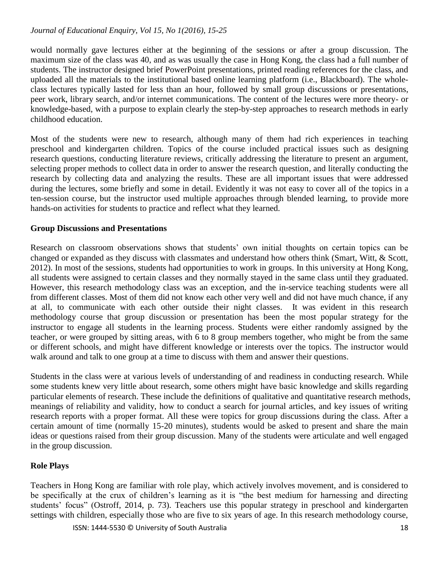would normally gave lectures either at the beginning of the sessions or after a group discussion. The maximum size of the class was 40, and as was usually the case in Hong Kong, the class had a full number of students. The instructor designed brief PowerPoint presentations, printed reading references for the class, and uploaded all the materials to the institutional based online learning platform (i.e., Blackboard). The wholeclass lectures typically lasted for less than an hour, followed by small group discussions or presentations, peer work, library search, and/or internet communications. The content of the lectures were more theory- or knowledge-based, with a purpose to explain clearly the step-by-step approaches to research methods in early childhood education.

Most of the students were new to research, although many of them had rich experiences in teaching preschool and kindergarten children. Topics of the course included practical issues such as designing research questions, conducting literature reviews, critically addressing the literature to present an argument, selecting proper methods to collect data in order to answer the research question, and literally conducting the research by collecting data and analyzing the results. These are all important issues that were addressed during the lectures, some briefly and some in detail. Evidently it was not easy to cover all of the topics in a ten-session course, but the instructor used multiple approaches through blended learning, to provide more hands-on activities for students to practice and reflect what they learned.

## **Group Discussions and Presentations**

Research on classroom observations shows that students' own initial thoughts on certain topics can be changed or expanded as they discuss with classmates and understand how others think (Smart, Witt, & Scott, 2012). In most of the sessions, students had opportunities to work in groups. In this university at Hong Kong, all students were assigned to certain classes and they normally stayed in the same class until they graduated. However, this research methodology class was an exception, and the in-service teaching students were all from different classes. Most of them did not know each other very well and did not have much chance, if any at all, to communicate with each other outside their night classes. It was evident in this research methodology course that group discussion or presentation has been the most popular strategy for the instructor to engage all students in the learning process. Students were either randomly assigned by the teacher, or were grouped by sitting areas, with 6 to 8 group members together, who might be from the same or different schools, and might have different knowledge or interests over the topics. The instructor would walk around and talk to one group at a time to discuss with them and answer their questions.

Students in the class were at various levels of understanding of and readiness in conducting research. While some students knew very little about research, some others might have basic knowledge and skills regarding particular elements of research. These include the definitions of qualitative and quantitative research methods, meanings of reliability and validity, how to conduct a search for journal articles, and key issues of writing research reports with a proper format. All these were topics for group discussions during the class. After a certain amount of time (normally 15-20 minutes), students would be asked to present and share the main ideas or questions raised from their group discussion. Many of the students were articulate and well engaged in the group discussion.

## **Role Plays**

Teachers in Hong Kong are familiar with role play, which actively involves movement, and is considered to be specifically at the crux of children's learning as it is "the best medium for harnessing and directing students' focus" (Ostroff, 2014, p. 73). Teachers use this popular strategy in preschool and kindergarten settings with children, especially those who are five to six years of age. In this research methodology course,

ISSN: 1444-5530 © University of South Australia 18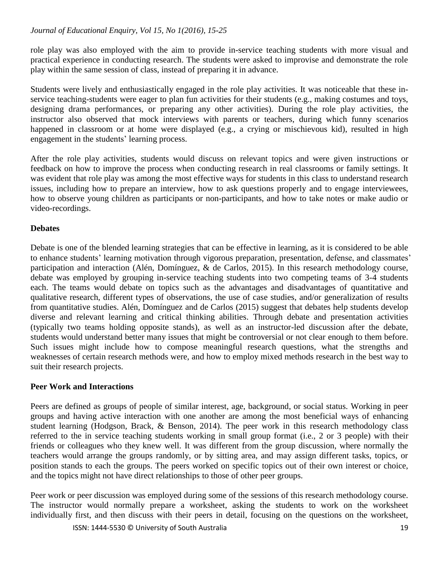role play was also employed with the aim to provide in-service teaching students with more visual and practical experience in conducting research. The students were asked to improvise and demonstrate the role play within the same session of class, instead of preparing it in advance.

Students were lively and enthusiastically engaged in the role play activities. It was noticeable that these inservice teaching-students were eager to plan fun activities for their students (e.g., making costumes and toys, designing drama performances, or preparing any other activities). During the role play activities, the instructor also observed that mock interviews with parents or teachers, during which funny scenarios happened in classroom or at home were displayed (e.g., a crying or mischievous kid), resulted in high engagement in the students' learning process.

After the role play activities, students would discuss on relevant topics and were given instructions or feedback on how to improve the process when conducting research in real classrooms or family settings. It was evident that role play was among the most effective ways for students in this class to understand research issues, including how to prepare an interview, how to ask questions properly and to engage interviewees, how to observe young children as participants or non-participants, and how to take notes or make audio or video-recordings.

## **Debates**

Debate is one of the blended learning strategies that can be effective in learning, as it is considered to be able to enhance students' learning motivation through vigorous preparation, presentation, defense, and classmates' participation and interaction (Alén, Domínguez, & de Carlos, 2015). In this research methodology course, debate was employed by grouping in-service teaching students into two competing teams of 3-4 students each. The teams would debate on topics such as the advantages and disadvantages of quantitative and qualitative research, different types of observations, the use of case studies, and/or generalization of results from quantitative studies. Alén, Domínguez and de Carlos (2015) suggest that debates help students develop diverse and relevant learning and critical thinking abilities. Through debate and presentation activities (typically two teams holding opposite stands), as well as an instructor-led discussion after the debate, students would understand better many issues that might be controversial or not clear enough to them before. Such issues might include how to compose meaningful research questions, what the strengths and weaknesses of certain research methods were, and how to employ mixed methods research in the best way to suit their research projects.

## **Peer Work and Interactions**

Peers are defined as groups of people of similar interest, age, background, or social status. Working in peer groups and having active interaction with one another are among the most beneficial ways of enhancing student learning (Hodgson, Brack, & Benson, 2014). The peer work in this research methodology class referred to the in service teaching students working in small group format (i.e., 2 or 3 people) with their friends or colleagues who they knew well. It was different from the group discussion, where normally the teachers would arrange the groups randomly, or by sitting area, and may assign different tasks, topics, or position stands to each the groups. The peers worked on specific topics out of their own interest or choice, and the topics might not have direct relationships to those of other peer groups.

Peer work or peer discussion was employed during some of the sessions of this research methodology course. The instructor would normally prepare a worksheet, asking the students to work on the worksheet individually first, and then discuss with their peers in detail, focusing on the questions on the worksheet,

ISSN: 1444-5530 © University of South Australia 19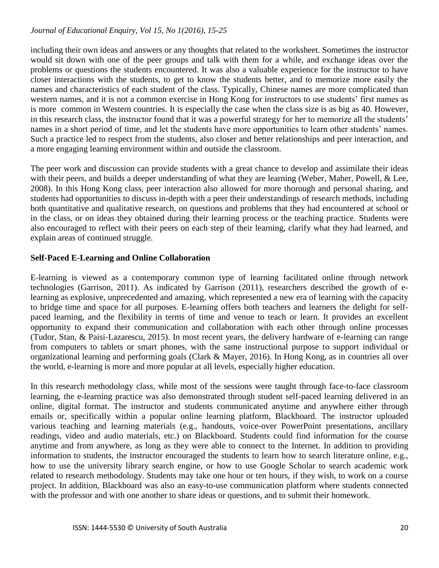including their own ideas and answers or any thoughts that related to the worksheet. Sometimes the instructor would sit down with one of the peer groups and talk with them for a while, and exchange ideas over the problems or questions the students encountered. It was also a valuable experience for the instructor to have closer interactions with the students, to get to know the students better, and to memorize more easily the names and characteristics of each student of the class. Typically, Chinese names are more complicated than western names, and it is not a common exercise in Hong Kong for instructors to use students' first names as is more common in Western countries. It is especially the case when the class size is as big as 40. However, in this research class, the instructor found that it was a powerful strategy for her to memorize all the students' names in a short period of time, and let the students have more opportunities to learn other students' names. Such a practice led to respect from the students, also closer and better relationships and peer interaction, and a more engaging learning environment within and outside the classroom.

The peer work and discussion can provide students with a great chance to develop and assimilate their ideas with their peers, and builds a deeper understanding of what they are learning (Weber, Maher, Powell, & Lee, 2008). In this Hong Kong class, peer interaction also allowed for more thorough and personal sharing, and students had opportunities to discuss in-depth with a peer their understandings of research methods, including both quantitative and qualitative research, on questions and problems that they had encountered at school or in the class, or on ideas they obtained during their learning process or the teaching practice. Students were also encouraged to reflect with their peers on each step of their learning, clarify what they had learned, and explain areas of continued struggle.

## **Self-Paced E-Learning and Online Collaboration**

E-learning is viewed as a contemporary common type of learning facilitated online through network technologies (Garrison, 2011). As indicated by Garrison (2011), researchers described the growth of elearning as explosive, unprecedented and amazing, which represented a new era of learning with the capacity to bridge time and space for all purposes. E-learning offers both teachers and learners the delight for selfpaced learning, and the flexibility in terms of time and venue to teach or learn. It provides an excellent opportunity to expand their communication and collaboration with each other through online processes (Tudor, Stan, & Paisi-Lazarescu, 2015). In most recent years, the delivery hardware of e-learning can range from computers to tablets or smart phones, with the same instructional purpose to support individual or organizational learning and performing goals (Clark & Mayer, 2016). In Hong Kong, as in countries all over the world, e-learning is more and more popular at all levels, especially higher education.

In this research methodology class, while most of the sessions were taught through face-to-face classroom learning, the e-learning practice was also demonstrated through student self-paced learning delivered in an online, digital format. The instructor and students communicated anytime and anywhere either through emails or, specifically within a popular online learning platform, Blackboard. The instructor uploaded various teaching and learning materials (e.g., handouts, voice-over PowerPoint presentations, ancillary readings, video and audio materials, etc.) on Blackboard. Students could find information for the course anytime and from anywhere, as long as they were able to connect to the Internet. In addition to providing information to students, the instructor encouraged the students to learn how to search literature online, e.g., how to use the university library search engine, or how to use Google Scholar to search academic work related to research methodology. Students may take one hour or ten hours, if they wish, to work on a course project. In addition, Blackboard was also an easy-to-use communication platform where students connected with the professor and with one another to share ideas or questions, and to submit their homework.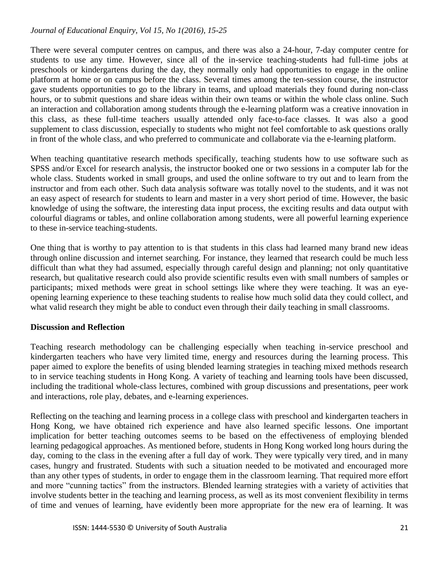There were several computer centres on campus, and there was also a 24-hour, 7-day computer centre for students to use any time. However, since all of the in-service teaching-students had full-time jobs at preschools or kindergartens during the day, they normally only had opportunities to engage in the online platform at home or on campus before the class. Several times among the ten-session course, the instructor gave students opportunities to go to the library in teams, and upload materials they found during non-class hours, or to submit questions and share ideas within their own teams or within the whole class online. Such an interaction and collaboration among students through the e-learning platform was a creative innovation in this class, as these full-time teachers usually attended only face-to-face classes. It was also a good supplement to class discussion, especially to students who might not feel comfortable to ask questions orally in front of the whole class, and who preferred to communicate and collaborate via the e-learning platform.

When teaching quantitative research methods specifically, teaching students how to use software such as SPSS and/or Excel for research analysis, the instructor booked one or two sessions in a computer lab for the whole class. Students worked in small groups, and used the online software to try out and to learn from the instructor and from each other. Such data analysis software was totally novel to the students, and it was not an easy aspect of research for students to learn and master in a very short period of time. However, the basic knowledge of using the software, the interesting data input process, the exciting results and data output with colourful diagrams or tables, and online collaboration among students, were all powerful learning experience to these in-service teaching-students.

One thing that is worthy to pay attention to is that students in this class had learned many brand new ideas through online discussion and internet searching. For instance, they learned that research could be much less difficult than what they had assumed, especially through careful design and planning; not only quantitative research, but qualitative research could also provide scientific results even with small numbers of samples or participants; mixed methods were great in school settings like where they were teaching. It was an eyeopening learning experience to these teaching students to realise how much solid data they could collect, and what valid research they might be able to conduct even through their daily teaching in small classrooms.

## **Discussion and Reflection**

Teaching research methodology can be challenging especially when teaching in-service preschool and kindergarten teachers who have very limited time, energy and resources during the learning process. This paper aimed to explore the benefits of using blended learning strategies in teaching mixed methods research to in service teaching students in Hong Kong. A variety of teaching and learning tools have been discussed, including the traditional whole-class lectures, combined with group discussions and presentations, peer work and interactions, role play, debates, and e-learning experiences.

Reflecting on the teaching and learning process in a college class with preschool and kindergarten teachers in Hong Kong, we have obtained rich experience and have also learned specific lessons. One important implication for better teaching outcomes seems to be based on the effectiveness of employing blended learning pedagogical approaches. As mentioned before, students in Hong Kong worked long hours during the day, coming to the class in the evening after a full day of work. They were typically very tired, and in many cases, hungry and frustrated. Students with such a situation needed to be motivated and encouraged more than any other types of students, in order to engage them in the classroom learning. That required more effort and more "cunning tactics" from the instructors. Blended learning strategies with a variety of activities that involve students better in the teaching and learning process, as well as its most convenient flexibility in terms of time and venues of learning, have evidently been more appropriate for the new era of learning. It was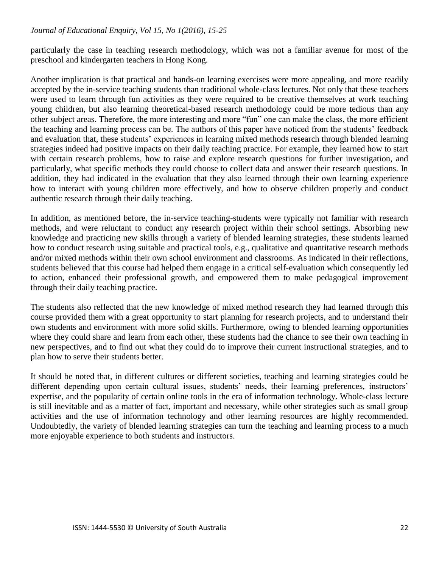particularly the case in teaching research methodology, which was not a familiar avenue for most of the preschool and kindergarten teachers in Hong Kong.

Another implication is that practical and hands-on learning exercises were more appealing, and more readily accepted by the in-service teaching students than traditional whole-class lectures. Not only that these teachers were used to learn through fun activities as they were required to be creative themselves at work teaching young children, but also learning theoretical-based research methodology could be more tedious than any other subject areas. Therefore, the more interesting and more "fun" one can make the class, the more efficient the teaching and learning process can be. The authors of this paper have noticed from the students' feedback and evaluation that, these students' experiences in learning mixed methods research through blended learning strategies indeed had positive impacts on their daily teaching practice. For example, they learned how to start with certain research problems, how to raise and explore research questions for further investigation, and particularly, what specific methods they could choose to collect data and answer their research questions. In addition, they had indicated in the evaluation that they also learned through their own learning experience how to interact with young children more effectively, and how to observe children properly and conduct authentic research through their daily teaching.

In addition, as mentioned before, the in-service teaching-students were typically not familiar with research methods, and were reluctant to conduct any research project within their school settings. Absorbing new knowledge and practicing new skills through a variety of blended learning strategies, these students learned how to conduct research using suitable and practical tools, e.g., qualitative and quantitative research methods and/or mixed methods within their own school environment and classrooms. As indicated in their reflections, students believed that this course had helped them engage in a critical self-evaluation which consequently led to action, enhanced their professional growth, and empowered them to make pedagogical improvement through their daily teaching practice.

The students also reflected that the new knowledge of mixed method research they had learned through this course provided them with a great opportunity to start planning for research projects, and to understand their own students and environment with more solid skills. Furthermore, owing to blended learning opportunities where they could share and learn from each other, these students had the chance to see their own teaching in new perspectives, and to find out what they could do to improve their current instructional strategies, and to plan how to serve their students better.

It should be noted that, in different cultures or different societies, teaching and learning strategies could be different depending upon certain cultural issues, students' needs, their learning preferences, instructors' expertise, and the popularity of certain online tools in the era of information technology. Whole-class lecture is still inevitable and as a matter of fact, important and necessary, while other strategies such as small group activities and the use of information technology and other learning resources are highly recommended. Undoubtedly, the variety of blended learning strategies can turn the teaching and learning process to a much more enjoyable experience to both students and instructors.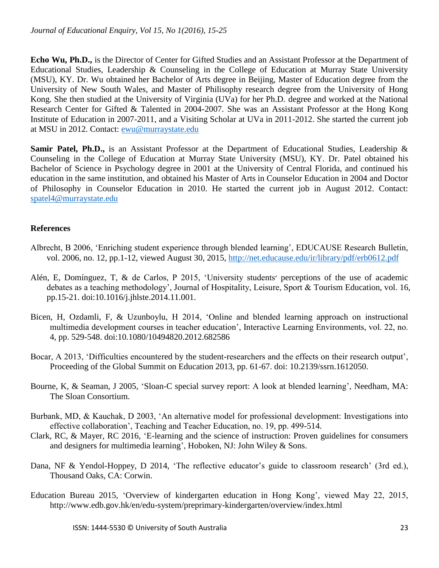**Echo Wu, Ph.D.,** is the Director of Center for Gifted Studies and an Assistant Professor at the Department of Educational Studies, Leadership & Counseling in the College of Education at Murray State University (MSU), KY. Dr. Wu obtained her Bachelor of Arts degree in Beijing, Master of Education degree from the University of New South Wales, and Master of Philisophy research degree from the University of Hong Kong. She then studied at the University of Virginia (UVa) for her Ph.D. degree and worked at the National Research Center for Gifted & Talented in 2004-2007. She was an Assistant Professor at the Hong Kong Institute of Education in 2007-2011, and a Visiting Scholar at UVa in 2011-2012. She started the current job at MSU in 2012. Contact: [ewu@murraystate.edu](mailto:ewu@murraystate.edu)

**Samir Patel, Ph.D.,** is an Assistant Professor at the Department of Educational Studies, Leadership & Counseling in the College of Education at Murray State University (MSU), KY. Dr. Patel obtained his Bachelor of Science in Psychology degree in 2001 at the University of Central Florida, and continued his education in the same institution, and obtained his Master of Arts in Counselor Education in 2004 and Doctor of Philosophy in Counselor Education in 2010. He started the current job in August 2012. Contact: [spatel4@murraystate.edu](mailto:spatel4@murraystate.edu)

# **References**

- Albrecht, B 2006, 'Enriching student experience through blended learning', EDUCAUSE Research Bulletin, vol. 2006, no. 12, pp.1-12, viewed August 30, 2015,<http://net.educause.edu/ir/library/pdf/erb0612.pdf>
- Alén, E, Domínguez, T, & de Carlos, P 2015, 'University students׳ perceptions of the use of academic debates as a teaching methodology', Journal of Hospitality, Leisure, Sport & Tourism Education, vol. 16, pp.15-21. doi:10.1016/j.jhlste.2014.11.001.
- Bicen, H, Ozdamli, F, & Uzunboylu, H 2014, 'Online and blended learning approach on instructional multimedia development courses in teacher education', Interactive Learning Environments, vol. 22, no. 4, pp. 529-548. doi:10.1080/10494820.2012.682586
- Bocar, A 2013, 'Difficulties encountered by the student-researchers and the effects on their research output', Proceeding of the Global Summit on Education 2013, pp. 61-67. doi: 10.2139/ssrn.1612050.
- Bourne, K, & Seaman, J 2005, 'Sloan-C special survey report: A look at blended learning', Needham, MA: The Sloan Consortium.
- Burbank, MD, & Kauchak, D 2003, 'An alternative model for professional development: Investigations into effective collaboration', Teaching and Teacher Education, no. 19, pp. 499-514.
- Clark, RC, & Mayer, RC 2016, 'E-learning and the science of instruction: Proven guidelines for consumers and designers for multimedia learning', Hoboken, NJ: John Wiley & Sons.
- Dana, NF & Yendol-Hoppey, D 2014, 'The reflective educator's guide to classroom research' (3rd ed.), Thousand Oaks, CA: Corwin.
- Education Bureau 2015, 'Overview of kindergarten education in Hong Kong', viewed May 22, 2015, http://www.edb.gov.hk/en/edu-system/preprimary-kindergarten/overview/index.html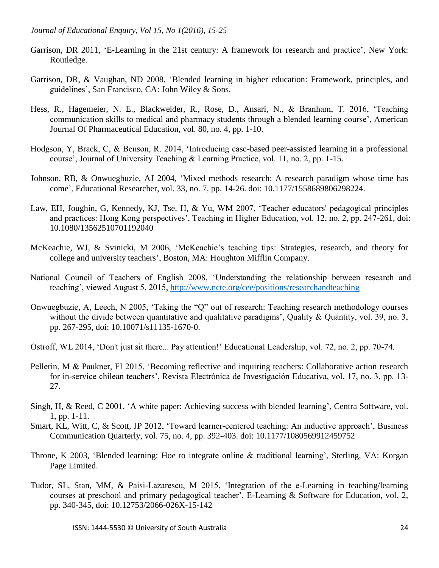- Garrison, DR 2011, 'E-Learning in the 21st century: A framework for research and practice', New York: Routledge.
- Garrison, DR, & Vaughan, ND 2008, 'Blended learning in higher education: Framework, principles, and guidelines', San Francisco, CA: John Wiley & Sons.
- Hess, R., Hagemeier, N. E., Blackwelder, R., Rose, D., Ansari, N., & Branham, T. 2016, 'Teaching communication skills to medical and pharmacy students through a blended learning course', American Journal Of Pharmaceutical Education, vol. 80, no. 4, pp. 1-10.
- Hodgson, Y, Brack, C, & Benson, R. 2014, 'Introducing case-based peer-assisted learning in a professional course', Journal of University Teaching & Learning Practice, vol. 11, no. 2, pp. 1-15.
- Johnson, RB, & Onwuegbuzie, AJ 2004, 'Mixed methods research: A research paradigm whose time has come', Educational Researcher, vol. 33, no. 7, pp. 14-26. doi: 10.1177/1558689806298224.
- Law, EH, Joughin, G, Kennedy, KJ, Tse, H, & Yu, WM 2007, 'Teacher educators' pedagogical principles and practices: Hong Kong perspectives', Teaching in Higher Education, vol. 12, no. 2, pp. 247-261, doi: 10.1080/13562510701192040
- McKeachie, WJ, & Svinicki, M 2006, 'McKeachie's teaching tips: Strategies, research, and theory for college and university teachers', Boston, MA: Houghton Mifflin Company.
- National Council of Teachers of English 2008, 'Understanding the relationship between research and teaching', viewed August 5, 2015,<http://www.ncte.org/cee/positions/researchandteaching>
- Onwuegbuzie, A, Leech, N 2005, 'Taking the "Q" out of research: Teaching research methodology courses without the divide between quantitative and qualitative paradigms', Quality & Quantity, vol. 39, no. 3, pp. 267-295, doi: 10.10071/s11135-1670-0.
- Ostroff, WL 2014, 'Don't just sit there... Pay attention!' Educational Leadership, vol. 72, no. 2, pp. 70-74.
- Pellerin, M & Paukner, FI 2015, 'Becoming reflective and inquiring teachers: Collaborative action research for in-service chilean teachers', Revista Electrónica de Investigación Educativa, vol. 17, no. 3, pp. 13- 27.
- Singh, H, & Reed, C 2001, 'A white paper: Achieving success with blended learning', Centra Software, vol. 1, pp. 1-11.
- Smart, KL, Witt, C, & Scott, JP 2012, 'Toward learner-centered teaching: An inductive approach', Business Communication Quarterly, vol. 75, no. 4, pp. 392-403. doi: 10.1177/1080569912459752
- Throne, K 2003, 'Blended learning: Hoe to integrate online & traditional learning', Sterling, VA: Korgan Page Limited.
- Tudor, SL, Stan, MM, & Paisi-Lazarescu, M 2015, 'Integration of the e-Learning in teaching/learning courses at preschool and primary pedagogical teacher', E-Learning & Software for Education, vol. 2, pp. 340-345, doi: 10.12753/2066-026X-15-142